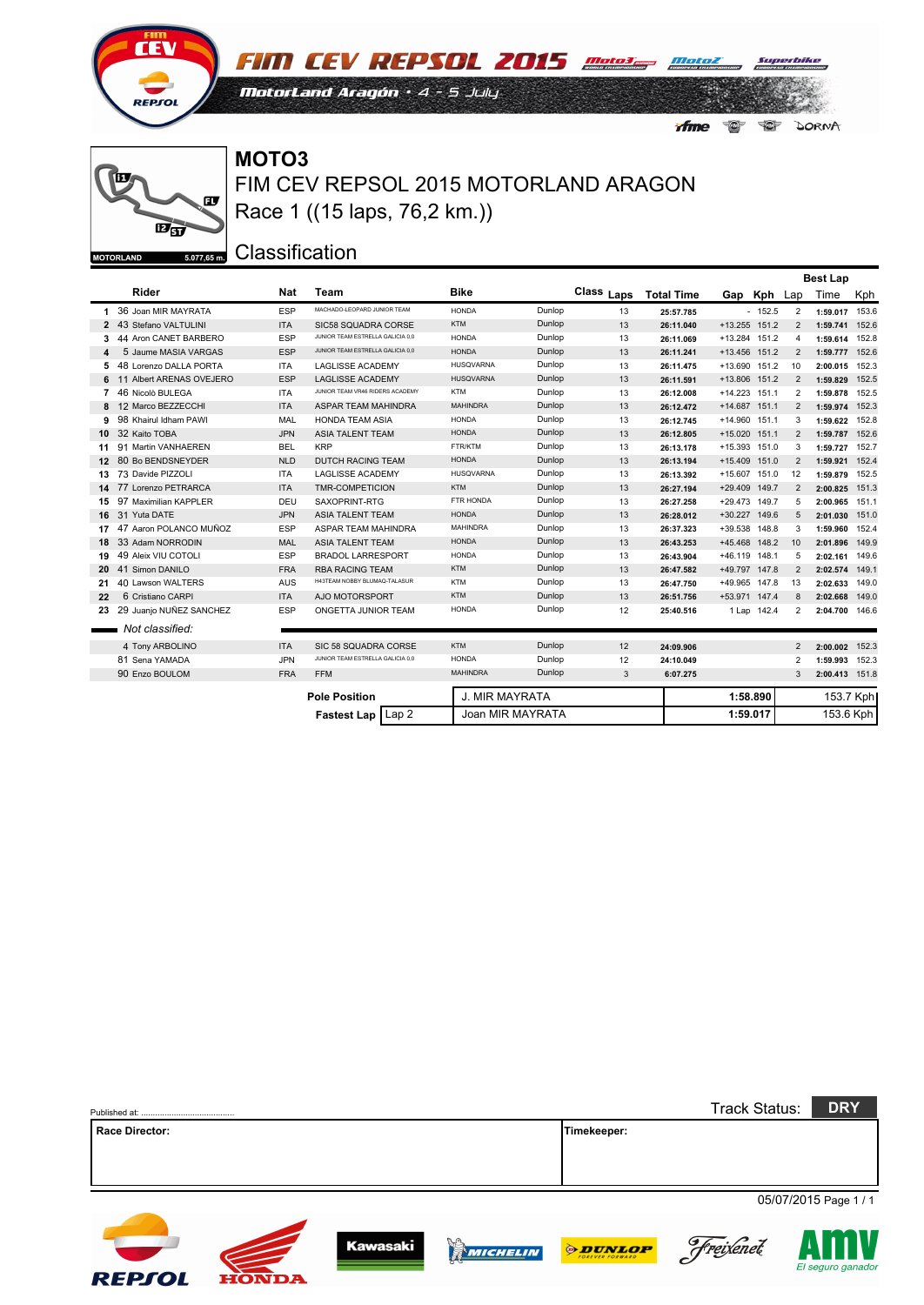

**FIM CEV REPSOL 2015** mater mater MotorLand Aragón · 4 - 5 July  $\begin{picture}(180,170) \put(0,0){\line(1,0){10}} \put(10,0){\line(1,0){10}} \put(10,0){\line(1,0){10}} \put(10,0){\line(1,0){10}} \put(10,0){\line(1,0){10}} \put(10,0){\line(1,0){10}} \put(10,0){\line(1,0){10}} \put(10,0){\line(1,0){10}} \put(10,0){\line(1,0){10}} \put(10,0){\line(1,0){10}} \put(10,0){\line(1,0){10}} \put(10,0){\line$ *Afme* DORNA

#### ĨΠ œ  $E_{5J}$  $5.077,65 \text{ m.}$ **MOTORLAND**

FIM CEV REPSOL 2015 MOTORLAND ARAGON **MOTO3** Race 1 ((15 laps, 76,2 km.))

|                  |                          |            |                                          |                  |        |            |                   |               |             |                 | <b>Best Lap</b> |           |
|------------------|--------------------------|------------|------------------------------------------|------------------|--------|------------|-------------------|---------------|-------------|-----------------|-----------------|-----------|
|                  | Rider                    | <b>Nat</b> | Team                                     | <b>Bike</b>      |        | Class Laps | <b>Total Time</b> |               | Gap Kph Lap |                 | Time            | Kph       |
| 1.               | 36 Joan MIR MAYRATA      | <b>ESP</b> | MACHADO-LEOPARD JUNIOR TEAM              | <b>HONDA</b>     | Dunlop | 13         | 25:57.785         |               | $-152.5$    | 2               | 1:59.017 153.6  |           |
|                  | 2 43 Stefano VALTULINI   | <b>ITA</b> | SIC58 SQUADRA CORSE                      | <b>KTM</b>       | Dunlop | 13         | 26:11.040         | +13.255 151.2 |             | 2               | 1:59.741 152.6  |           |
| 3                | 44 Aron CANET BARBERO    | <b>ESP</b> | JUNIOR TEAM ESTRELLA GALICIA 0,0         | <b>HONDA</b>     | Dunlop | 13         | 26:11.069         | +13.284 151.2 |             | 4               | 1:59.614 152.8  |           |
| 4                | 5 Jaume MASIA VARGAS     | <b>ESP</b> | JUNIOR TEAM ESTRELLA GALICIA 0,0         | <b>HONDA</b>     | Dunlop | 13         | 26:11.241         | +13.456 151.2 |             | 2               | 1:59.777 152.6  |           |
| 5.               | 48 Lorenzo DALLA PORTA   | <b>ITA</b> | <b>LAGLISSE ACADEMY</b>                  | <b>HUSQVARNA</b> | Dunlop | 13         | 26:11.475         | +13.690 151.2 |             | 10              | 2:00.015        | 152.3     |
|                  | 11 Albert ARENAS OVEJERO | <b>ESP</b> | <b>LAGLISSE ACADEMY</b>                  | <b>HUSQVARNA</b> | Dunlop | 13         | 26:11.591         | +13.806 151.2 |             | 2               | 1:59.829        | 152.5     |
| $\overline{7}$   | 46 Nicolò BULEGA         | <b>ITA</b> | JUNIOR TEAM VR46 RIDERS ACADEMY          | <b>KTM</b>       | Dunlop | 13         | 26:12.008         | +14.223 151.1 |             | 2               | 1:59.878        | 152.5     |
| 8                | 12 Marco BEZZECCHI       | <b>ITA</b> | ASPAR TEAM MAHINDRA                      | <b>MAHINDRA</b>  | Dunlop | 13         | 26:12.472         | +14.687 151.1 |             | 2               | 1:59.974 152.3  |           |
|                  | 98 Khairul Idham PAWI    | MAL        | <b>HONDA TEAM ASIA</b>                   | <b>HONDA</b>     | Dunlop | 13         | 26:12.745         | +14.960 151.1 |             | 3               | 1:59.622        | 152.8     |
| 10               | 32 Kaito TOBA            | <b>JPN</b> | <b>ASIA TALENT TEAM</b>                  | <b>HONDA</b>     | Dunlop | 13         | 26:12.805         | +15.020 151.1 |             | $\overline{2}$  | 1:59.787 152.6  |           |
| 11               | 91 Martin VANHAEREN      | <b>BEL</b> | <b>KRP</b>                               | FTR/KTM          | Dunlop | 13         | 26:13.178         | +15.393 151.0 |             | 3               | 1:59.727        | 152.7     |
| 12 <sup>12</sup> | 80 Bo BENDSNEYDER        | <b>NLD</b> | DUTCH RACING TEAM                        | <b>HONDA</b>     | Dunlop | 13         | 26:13.194         | +15.409 151.0 |             | 2               | 1:59.921 152.4  |           |
| 13               | 73 Davide PIZZOLI        | <b>ITA</b> | <b>LAGLISSE ACADEMY</b>                  | <b>HUSQVARNA</b> | Dunlop | 13         | 26:13.392         | +15.607 151.0 |             | 12              | 1:59.879        | 152.5     |
|                  | 77 Lorenzo PETRARCA      | <b>ITA</b> | <b>TMR-COMPETICION</b>                   | <b>KTM</b>       | Dunlop | 13         | 26:27.194         | +29.409 149.7 |             | 2               | 2:00.825        | 151.3     |
| 15               | 97 Maximilian KAPPLER    | DEU        | SAXOPRINT-RTG                            | FTR HONDA        | Dunlop | 13         | 26:27.258         | +29.473 149.7 |             | 5               | 2:00.965        | 151.1     |
|                  | 16 31 Yuta DATE          | <b>JPN</b> | <b>ASIA TALENT TEAM</b>                  | <b>HONDA</b>     | Dunlop | 13         | 26:28.012         | +30.227 149.6 |             | 5               | 2:01.030 151.0  |           |
| 17               | 47 Aaron POLANCO MUÑOZ   | <b>ESP</b> | ASPAR TEAM MAHINDRA                      | <b>MAHINDRA</b>  | Dunlop | 13         | 26:37.323         | +39.538 148.8 |             | 3               | 1:59.960        | 152.4     |
| 18.              | 33 Adam NORRODIN         | <b>MAL</b> | <b>ASIA TALENT TEAM</b>                  | <b>HONDA</b>     | Dunlop | 13         | 26:43.253         | +45.468 148.2 |             | 10 <sup>1</sup> | 2:01.896        | 149.9     |
| 19               | 49 Aleix VIU COTOLI      | <b>ESP</b> | <b>BRADOL LARRESPORT</b>                 | <b>HONDA</b>     | Dunlop | 13         | 26:43.904         | +46.119 148.1 |             | 5               | 2:02.161 149.6  |           |
| 20               | 41 Simon DANILO          | <b>FRA</b> | <b>RBA RACING TEAM</b>                   | <b>KTM</b>       | Dunlop | 13         | 26:47.582         | +49.797 147.8 |             | 2               | 2:02.574 149.1  |           |
| 21               | 40 Lawson WALTERS        | <b>AUS</b> | H43TEAM NOBBY BLUMAQ-TALASUR             | <b>KTM</b>       | Dunlop | 13         | 26:47.750         | +49.965 147.8 |             | 13              | 2:02.633        | 149.0     |
| 22               | 6 Cristiano CARPI        | <b>ITA</b> | AJO MOTORSPORT                           | <b>KTM</b>       | Dunlop | 13         | 26:51.756         | +53.971 147.4 |             | 8               | 2:02.668        | 149.0     |
| 23               | 29 Juanjo NUÑEZ SANCHEZ  | <b>ESP</b> | ONGETTA JUNIOR TEAM                      | <b>HONDA</b>     | Dunlop | 12         | 25:40.516         |               | 1 Lap 142.4 | 2               | 2:04.700 146.6  |           |
|                  | Not classified:          |            |                                          |                  |        |            |                   |               |             |                 |                 |           |
|                  | 4 Tony ARBOLINO          | <b>ITA</b> | SIC 58 SQUADRA CORSE                     | <b>KTM</b>       | Dunlop | 12         | 24:09.906         |               |             | 2               | 2:00.002 152.3  |           |
|                  | 81 Sena YAMADA           | <b>JPN</b> | JUNIOR TEAM ESTRELLA GALICIA 0,0         | <b>HONDA</b>     | Dunlop | 12         | 24:10.049         |               |             | 2               | 1:59.993 152.3  |           |
|                  | 90 Enzo BOULOM           | <b>FRA</b> | <b>FFM</b>                               | <b>MAHINDRA</b>  | Dunlop | 3          | 6:07.275          |               |             | 3               | 2:00.413 151.8  |           |
|                  |                          |            | <b>Pole Position</b>                     | J. MIR MAYRATA   |        |            |                   |               | 1:58.890    |                 |                 | 153.7 Kph |
|                  |                          |            | Lap <sub>2</sub><br><b>Fastest Lap I</b> | Joan MIR MAYRATA |        |            |                   |               | 1:59.017    |                 | 153.6 Kph       |           |

|                       |              |                 |                 |                | <b>Track Status:</b> | <b>DRY</b>            |
|-----------------------|--------------|-----------------|-----------------|----------------|----------------------|-----------------------|
| <b>Race Director:</b> |              |                 |                 | Timekeeper:    |                      |                       |
|                       |              |                 |                 |                |                      |                       |
|                       |              |                 |                 |                |                      |                       |
|                       |              |                 |                 |                |                      | 05/07/2015 Page 1 / 1 |
|                       |              |                 |                 |                |                      |                       |
|                       |              | <b>Kawasaki</b> | D.C             |                |                      |                       |
|                       |              |                 | <b>WICHELIN</b> | <b>ODUNLOP</b> | Freixenet            | El seguro ganador     |
| <b>REPSOL</b>         | <b>HONDA</b> |                 |                 |                |                      |                       |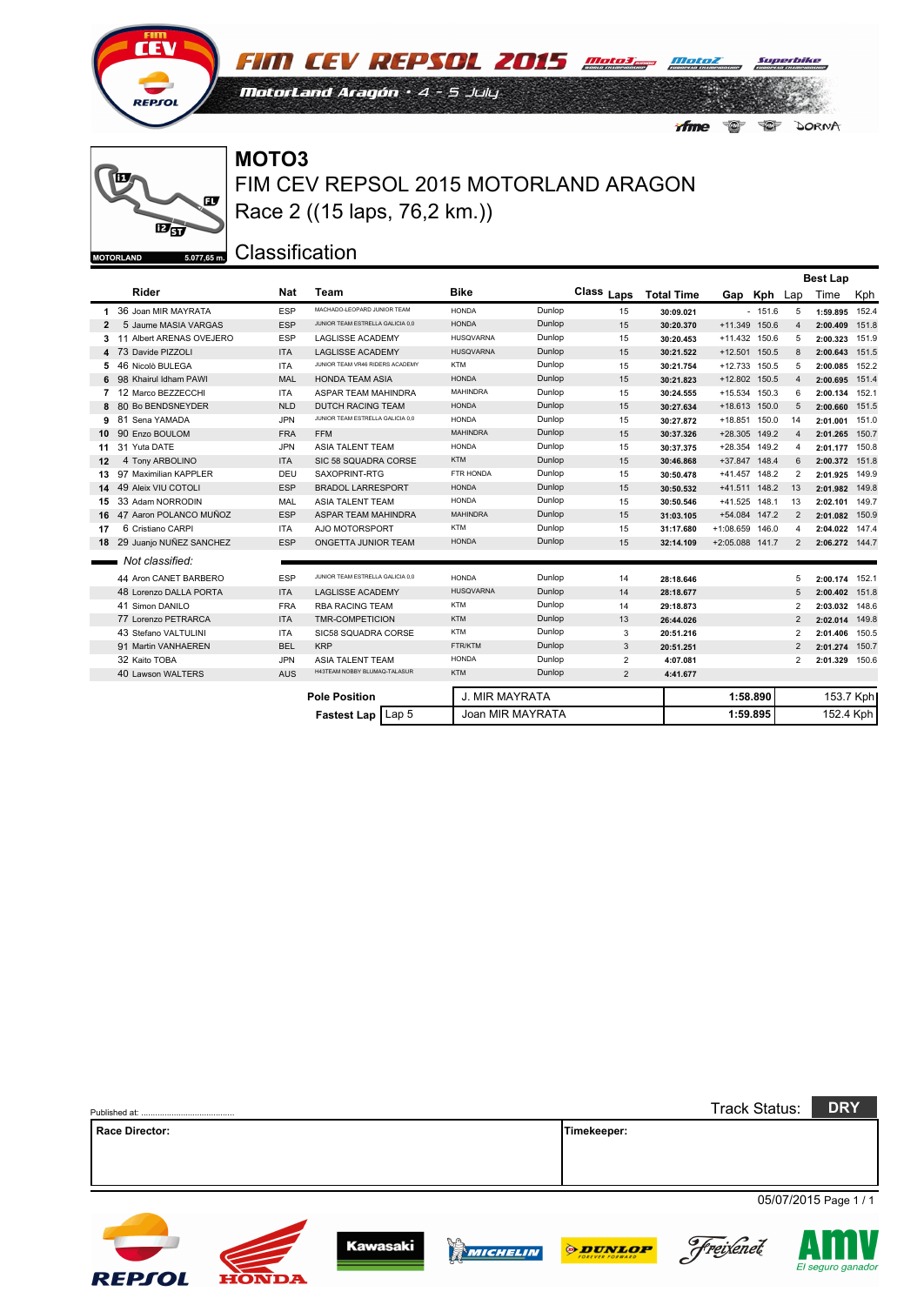

 $E_{5}$ 

ŤП

**MOTORLAND** 

**FIM CEV REPSOL 2015** Mata Patel MotorLand Aragón · 4 - 5 July  $\bigcirc$ *Afme* DORNA

## **MOTO3** œ

 $5.077,65 \text{ m}.$ 

FIM CEV REPSOL 2015 MOTORLAND ARAGON Race 2 ((15 laps, 76,2 km.))

|                  |                            |            |                                  |                       |        |                |                   |                 |             |                | <b>Best Lap</b> |           |
|------------------|----------------------------|------------|----------------------------------|-----------------------|--------|----------------|-------------------|-----------------|-------------|----------------|-----------------|-----------|
|                  | Rider                      | <b>Nat</b> | Team                             | <b>Bike</b>           |        | Class Laps     | <b>Total Time</b> |                 | Gap Kph Lap |                | Time            | Kph       |
| $\mathbf{1}$     | 36 Joan MIR MAYRATA        | <b>ESP</b> | MACHADO-LEOPARD JUNIOR TEAM      | <b>HONDA</b>          | Dunlop | 15             | 30:09.021         |                 | $-151.6$    | 5              | 1:59.895        | 152.4     |
| $\mathbf{2}$     | 5 Jaume MASIA VARGAS       | <b>ESP</b> | JUNIOR TEAM ESTRELLA GALICIA 0.0 | <b>HONDA</b>          | Dunlop | 15             | 30:20.370         | +11.349 150.6   |             | $\overline{4}$ | 2:00.409        | 151.8     |
| 3.               | 11 Albert ARENAS OVEJERO   | <b>ESP</b> | <b>LAGLISSE ACADEMY</b>          | <b>HUSQVARNA</b>      | Dunlop | 15             | 30:20.453         | $+11.432$       | 150.6       | 5              | 2:00.323        | 151.9     |
|                  | 4 73 Davide PIZZOLI        | <b>ITA</b> | <b>LAGLISSE ACADEMY</b>          | <b>HUSQVARNA</b>      | Dunlop | 15             | 30:21.522         | +12.501 150.5   |             | 8              | 2:00.643        | 151.5     |
| 5                | 46 Nicolò BULEGA           | <b>ITA</b> | JUNIOR TEAM VR46 RIDERS ACADEMY  | <b>KTM</b>            | Dunlop | 15             | 30:21.754         | +12.733 150.5   |             | 5              | 2:00.085        | 152.2     |
| 6                | 98 Khairul Idham PAWI      | MAL        | <b>HONDA TEAM ASIA</b>           | <b>HONDA</b>          | Dunlop | 15             | 30:21.823         | +12.802 150.5   |             | $\overline{4}$ | 2:00.695        | 151.4     |
| 7                | 12 Marco BEZZECCHI         | <b>ITA</b> | ASPAR TEAM MAHINDRA              | <b>MAHINDRA</b>       | Dunlop | 15             | 30:24.555         | +15.534 150.3   |             | 6              | 2:00.134        | 152.1     |
| 8                | 80 Bo BENDSNEYDER          | <b>NLD</b> | <b>DUTCH RACING TEAM</b>         | <b>HONDA</b>          | Dunlop | 15             | 30:27.634         | +18.613 150.0   |             | 5              | 2:00.660        | 151.5     |
| 9                | 81 Sena YAMADA             | <b>JPN</b> | JUNIOR TEAM ESTRELLA GALICIA 0.0 | <b>HONDA</b>          | Dunlop | 15             | 30:27.872         | +18.851 150.0   |             | 14             | 2:01.001        | 151.0     |
| 10               | 90 Enzo BOULOM             | <b>FRA</b> | <b>FFM</b>                       | <b>MAHINDRA</b>       | Dunlop | 15             | 30:37.326         | +28.305 149.2   |             | $\overline{4}$ | 2:01.265        | 150.7     |
| 11               | 31 Yuta DATE               | <b>JPN</b> | <b>ASIA TALENT TEAM</b>          | <b>HONDA</b>          | Dunlop | 15             | 30:37.375         | +28.354 149.2   |             | 4              | 2:01.177        | 150.8     |
| 12 <sup>12</sup> | 4 Tony ARBOLINO            | <b>ITA</b> | SIC 58 SQUADRA CORSE             | <b>KTM</b>            | Dunlop | 15             | 30:46.868         | +37.847 148.4   |             | 6              | 2:00.372        | 151.8     |
| 13               | 97 Maximilian KAPPLER      | DEU        | SAXOPRINT-RTG                    | FTR HONDA             | Dunlop | 15             | 30:50.478         | +41.457 148.2   |             | 2              | 2:01.925        | 149.9     |
| 14               | 49 Aleix VIU COTOLI        | <b>ESP</b> | <b>BRADOL LARRESPORT</b>         | <b>HONDA</b>          | Dunlop | 15             | 30:50.532         | +41.511 148.2   |             | 13             | 2:01.982        | 149.8     |
| 15               | 33 Adam NORRODIN           | MAL        | <b>ASIA TALENT TEAM</b>          | <b>HONDA</b>          | Dunlop | 15             | 30:50.546         | +41.525 148.1   |             | 13             | 2:02.101 149.7  |           |
| 16               | 47 Aaron POLANCO MUÑOZ     | <b>ESP</b> | ASPAR TEAM MAHINDRA              | <b>MAHINDRA</b>       | Dunlop | 15             | 31:03.105         | +54.084 147.2   |             | $\overline{2}$ | 2:01.082        | 150.9     |
| 17               | 6 Cristiano CARPI          | <b>ITA</b> | AJO MOTORSPORT                   | <b>KTM</b>            | Dunlop | 15             | 31:17.680         | +1:08.659 146.0 |             | 4              | 2:04.022        | 147.4     |
|                  | 18 29 Juanjo NUÑEZ SANCHEZ | <b>ESP</b> | ONGETTA JUNIOR TEAM              | <b>HONDA</b>          | Dunlop | 15             | 32:14.109         | +2:05.088 141.7 |             | 2              | 2:06.272 144.7  |           |
|                  | Not classified:            |            |                                  |                       |        |                |                   |                 |             |                |                 |           |
|                  | 44 Aron CANET BARBERO      | ESP        | JUNIOR TEAM ESTRELLA GALICIA 0.0 | <b>HONDA</b>          | Dunlop | 14             | 28:18.646         |                 |             | 5              | 2:00.174        | 152.1     |
|                  | 48 Lorenzo DALLA PORTA     | <b>ITA</b> | <b>LAGLISSE ACADEMY</b>          | <b>HUSQVARNA</b>      | Dunlop | 14             | 28:18.677         |                 |             | 5              | 2:00.402        | 151.8     |
|                  | 41 Simon DANILO            | <b>FRA</b> | <b>RBA RACING TEAM</b>           | <b>KTM</b>            | Dunlop | 14             | 29:18.873         |                 |             | $\overline{2}$ | 2:03.032        | 148.6     |
|                  | 77 Lorenzo PETRARCA        | <b>ITA</b> | <b>TMR-COMPETICION</b>           | <b>KTM</b>            | Dunlop | 13             | 26:44.026         |                 |             | $\overline{2}$ | 2:02.014        | 149.8     |
|                  | 43 Stefano VALTULINI       | <b>ITA</b> | SIC58 SQUADRA CORSE              | <b>KTM</b>            | Dunlop | 3              | 20:51.216         |                 |             | 2              | 2:01.406        | 150.5     |
|                  | 91 Martin VANHAEREN        | <b>BEL</b> | <b>KRP</b>                       | FTR/KTM               | Dunlop | 3              | 20:51.251         |                 |             | $\overline{2}$ | 2:01.274        | 150.7     |
|                  | 32 Kaito TOBA              | <b>JPN</b> | <b>ASIA TALENT TEAM</b>          | <b>HONDA</b>          | Dunlop | $\overline{2}$ | 4:07.081          |                 |             | 2              | 2:01.329 150.6  |           |
|                  | 40 Lawson WALTERS          | <b>AUS</b> | H43TEAM NOBBY BLUMAQ-TALASUR     | <b>KTM</b>            | Dunlop | 2              | 4:41.677          |                 |             |                |                 |           |
|                  |                            |            |                                  |                       |        |                |                   |                 |             |                |                 |           |
|                  |                            |            | <b>Pole Position</b>             | <b>J. MIR MAYRATA</b> |        |                |                   |                 | 1:58.890    |                |                 | 153.7 Kph |
|                  |                            |            | Fastest Lap   Lap 5              | Joan MIR MAYRATA      |        |                |                   |                 | 1:59.895    |                | 152.4 Kph       |           |

|                       |              |                 |                 |                | <b>Track Status:</b> | <b>DRY</b>            |
|-----------------------|--------------|-----------------|-----------------|----------------|----------------------|-----------------------|
| <b>Race Director:</b> |              |                 |                 | Timekeeper:    |                      |                       |
|                       |              |                 |                 |                |                      |                       |
|                       |              |                 |                 |                |                      |                       |
|                       |              |                 |                 |                |                      | 05/07/2015 Page 1 / 1 |
|                       |              |                 |                 |                |                      |                       |
|                       |              | <b>Kawasaki</b> | <b>WICHELIN</b> | <b>ODUNLOP</b> | Freixenet            |                       |
|                       |              |                 |                 |                |                      | El seguro ganador     |
| <b>REPSOL</b>         | <b>HONDA</b> |                 |                 |                |                      |                       |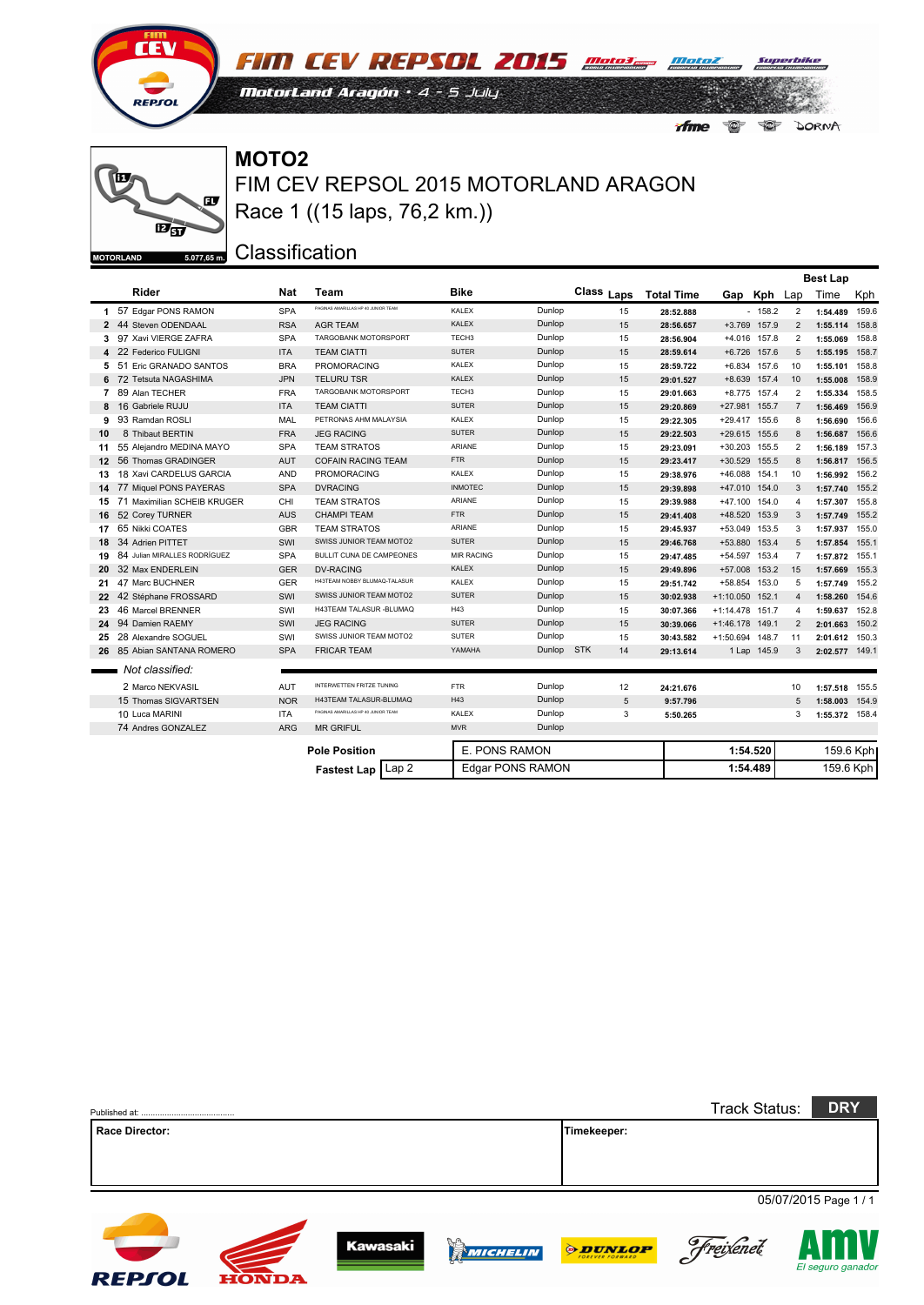

**FIM CEV REPSOL 2015** mater mater MotorLand Aragón · 4 - 5 July  $\bullet$ *Afme* DORNA

#### ĨΠ œ  $E_{5}$  $5.077,65$  m. **MOTORLAND**

FIM CEV REPSOL 2015 MOTORLAND ARAGON **MOTO2** Race 1 ((15 laps, 76,2 km.))

|                |                              |            |                                        |                   |                         |                  |                   |                   |              |                | <b>Best Lap</b> |           |
|----------------|------------------------------|------------|----------------------------------------|-------------------|-------------------------|------------------|-------------------|-------------------|--------------|----------------|-----------------|-----------|
|                | Rider                        | <b>Nat</b> | Team                                   | <b>Bike</b>       |                         | Class Laps       | <b>Total Time</b> | Gap Kph           |              | Lap            | Time            | Kph       |
|                | 1 57 Edgar PONS RAMON        | <b>SPA</b> | PAGINAS AMARILLAS HP 40 JUNIOR TEAM    | <b>KALEX</b>      | Dunlop                  | 15               | 28:52.888         |                   | $-158.2$     | $\overline{2}$ | 1:54.489        | 159.6     |
|                | 2 44 Steven ODENDAAL         | <b>RSA</b> | <b>AGR TEAM</b>                        | <b>KALEX</b>      | Dunlop                  | 15               | 28:56.657         |                   | +3.769 157.9 | 2              | 1:55.114 158.8  |           |
| 3              | 97 Xavi VIERGE ZAFRA         | <b>SPA</b> | TARGOBANK MOTORSPORT                   | TECH <sub>3</sub> | Dunlop                  | 15               | 28:56.904         |                   | +4.016 157.8 | 2              | 1:55.069 158.8  |           |
|                | 4 22 Federico FULIGNI        | <b>ITA</b> | <b>TEAM CIATTI</b>                     | <b>SUTER</b>      | Dunlop                  | 15               | 28:59.614         |                   | +6.726 157.6 | 5              | 1:55.195 158.7  |           |
| 5              | 51 Eric GRANADO SANTOS       | <b>BRA</b> | <b>PROMORACING</b>                     | <b>KALEX</b>      | Dunlop                  | 15               | 28:59.722         |                   | +6.834 157.6 | 10             | 1:55.101 158.8  |           |
|                | 6 72 Tetsuta NAGASHIMA       | <b>JPN</b> | <b>TELURU TSR</b>                      | <b>KALEX</b>      | Dunlop                  | 15               | 29:01.527         |                   | +8.639 157.4 | 10             | 1:55.008        | 158.9     |
| $\overline{7}$ | 89 Alan TECHER               | <b>FRA</b> | TARGOBANK MOTORSPORT                   | TECH <sub>3</sub> | Dunlop                  | 15               | 29:01.663         |                   | +8.775 157.4 | 2              | 1:55.334        | 158.5     |
|                | 8 16 Gabriele RUJU           | <b>ITA</b> | <b>TEAM CIATTI</b>                     | <b>SUTER</b>      | Dunlop                  | 15               | 29:20.869         | +27.981 155.7     |              | $\overline{7}$ | 1:56.469 156.9  |           |
| 9              | 93 Ramdan ROSLI              | MAL        | PETRONAS AHM MALAYSIA                  | <b>KALEX</b>      | Dunlop                  | 15               | 29:22.305         | +29.417 155.6     |              | 8              | 1:56.690        | 156.6     |
| 10             | 8 Thibaut BERTIN             | <b>FRA</b> | <b>JEG RACING</b>                      | <b>SUTER</b>      | Dunlop                  | 15               | 29:22.503         | +29.615 155.6     |              | 8              | 1:56.687        | 156.6     |
| 11             | 55 Alejandro MEDINA MAYO     | <b>SPA</b> | <b>TEAM STRATOS</b>                    | <b>ARIANE</b>     | Dunlop                  | 15               | 29:23.091         | +30.203 155.5     |              | 2              | 1:56.189 157.3  |           |
| 12             | 56 Thomas GRADINGER          | <b>AUT</b> | <b>COFAIN RACING TEAM</b>              | <b>FTR</b>        | Dunlop                  | 15               | 29:23.417         | +30.529 155.5     |              | 8              | 1:56.817 156.5  |           |
| 13             | 18 Xavi CARDELUS GARCIA      | <b>AND</b> | <b>PROMORACING</b>                     | <b>KALEX</b>      | Dunlop                  | 15               | 29:38.976         | +46.088 154.1     |              | 10             | 1:56.992 156.2  |           |
|                | 14 77 Miquel PONS PAYERAS    | <b>SPA</b> | <b>DVRACING</b>                        | <b>INMOTEC</b>    | Dunlop                  | 15               | 29:39.898         | +47.010 154.0     |              | 3              | 1:57.740 155.2  |           |
| 15             | 71 Maximilian SCHEIB KRUGER  | CHI        | <b>TEAM STRATOS</b>                    | <b>ARIANE</b>     | Dunlop                  | 15               | 29:39.988         | +47.100 154.0     |              | 4              | 1:57.307 155.8  |           |
| 16             | 52 Corey TURNER              | <b>AUS</b> | <b>CHAMPI TEAM</b>                     | <b>FTR</b>        | Dunlop                  | 15               | 29:41.408         | +48.520 153.9     |              | 3              | 1:57.749 155.2  |           |
| 17             | 65 Nikki COATES              | <b>GBR</b> | <b>TEAM STRATOS</b>                    | ARIANE            | Dunlop                  | 15               | 29:45.937         | +53.049 153.5     |              | 3              | 1:57.937 155.0  |           |
| 18             | 34 Adrien PITTET             | SWI        | SWISS JUNIOR TEAM MOTO2                | <b>SUTER</b>      | Dunlop                  | 15               | 29:46.768         | +53.880 153.4     |              | 5              | 1:57.854 155.1  |           |
| 19             | 84 Julian MIRALLES RODRÍGUEZ | <b>SPA</b> | <b>BULLIT CUNA DE CAMPEONES</b>        | <b>MIR RACING</b> | Dunlop                  | 15               | 29:47.485         | +54.597 153.4     |              | $\overline{7}$ | 1:57.872 155.1  |           |
| 20             | 32 Max ENDERLEIN             | <b>GER</b> | <b>DV-RACING</b>                       | <b>KALEX</b>      | Dunlop                  | 15               | 29:49.896         | +57.008 153.2     |              | 15             | 1:57.669 155.3  |           |
| 21             | 47 Marc BUCHNER              | <b>GER</b> | H43TEAM NOBBY BLUMAQ-TALASUR           | KALEX             | Dunlop                  | 15               | 29:51.742         | +58.854 153.0     |              | 5              | 1:57.749        | 155.2     |
|                | 22 42 Stéphane FROSSARD      | SWI        | SWISS JUNIOR TEAM MOTO2                | <b>SUTER</b>      | Dunlop                  | 15               | 30:02.938         | $+1:10.050$ 152.1 |              | $\overline{4}$ | 1:58.260        | 154.6     |
| 23             | 46 Marcel BRENNER            | SWI        | H43TEAM TALASUR - BLUMAQ               | H43               | Dunlop                  | 15               | 30:07.366         | +1:14.478 151.7   |              | 4              | 1:59.637 152.8  |           |
|                | 24 94 Damien RAEMY           | SWI        | <b>JEG RACING</b>                      | <b>SUTER</b>      | Dunlop                  | 15               | 30:39.066         | +1:46.178 149.1   |              | 2              | 2:01.663 150.2  |           |
| 25             | 28 Alexandre SOGUEL          | SWI        | SWISS JUNIOR TEAM MOTO2                | <b>SUTER</b>      | Dunlop                  | 15               | 30:43.582         | +1:50.694 148.7   |              | 11             | 2:01.612 150.3  |           |
|                | 26 85 Abian SANTANA ROMERO   | <b>SPA</b> | <b>FRICAR TEAM</b>                     | YAMAHA            | Dunlop                  | <b>STK</b><br>14 | 29:13.614         |                   | 1 Lap 145.9  | 3              | 2:02.577 149.1  |           |
|                | Not classified:              |            |                                        |                   |                         |                  |                   |                   |              |                |                 |           |
|                | 2 Marco NEKVASIL             | AUT        | INTERWETTEN FRITZE TUNING              | <b>FTR</b>        | Dunlop                  | 12               | 24:21.676         |                   |              | 10             | 1:57.518        | 155.5     |
|                | 15 Thomas SIGVARTSEN         | <b>NOR</b> | H43TEAM TALASUR-BLUMAQ                 | H43               | Dunlop                  | 5                | 9:57.796          |                   |              | 5              | 1:58.003 154.9  |           |
|                | 10 Luca MARINI               | <b>ITA</b> | PAGINAS AMARILLAS HP 40 JUNIOR TEAM    | KALEX             | Dunlop                  | 3                | 5:50.265          |                   |              | 3              | 1:55.372 158.4  |           |
|                | 74 Andres GONZALEZ           | <b>ARG</b> | <b>MR GRIFUL</b>                       | <b>MVR</b>        | Dunlop                  |                  |                   |                   |              |                |                 |           |
|                |                              |            | <b>Pole Position</b>                   | E. PONS RAMON     |                         |                  |                   | 1:54.520          |              |                |                 | 159.6 Kph |
|                |                              |            | Lap <sub>2</sub><br><b>Fastest Lap</b> |                   | <b>Edgar PONS RAMON</b> |                  |                   | 1:54.489          |              |                | 159.6 Kph       |           |

|                       |              |                 |                |                | <b>Track Status:</b> | <b>DRY</b>            |
|-----------------------|--------------|-----------------|----------------|----------------|----------------------|-----------------------|
| <b>Race Director:</b> |              |                 |                | Timekeeper:    |                      |                       |
|                       |              |                 |                |                |                      |                       |
|                       |              |                 |                |                |                      |                       |
|                       |              |                 |                |                |                      | 05/07/2015 Page 1 / 1 |
|                       |              |                 |                |                |                      |                       |
|                       |              | <b>Kawasaki</b> | $\mathbb{R}^n$ |                |                      |                       |
|                       |              |                 | MICHELIN       | <b>ODUNLOP</b> | Freixenet            | El seguro ganado      |
| <b>REPSOL</b>         | <b>HONDA</b> |                 |                |                |                      |                       |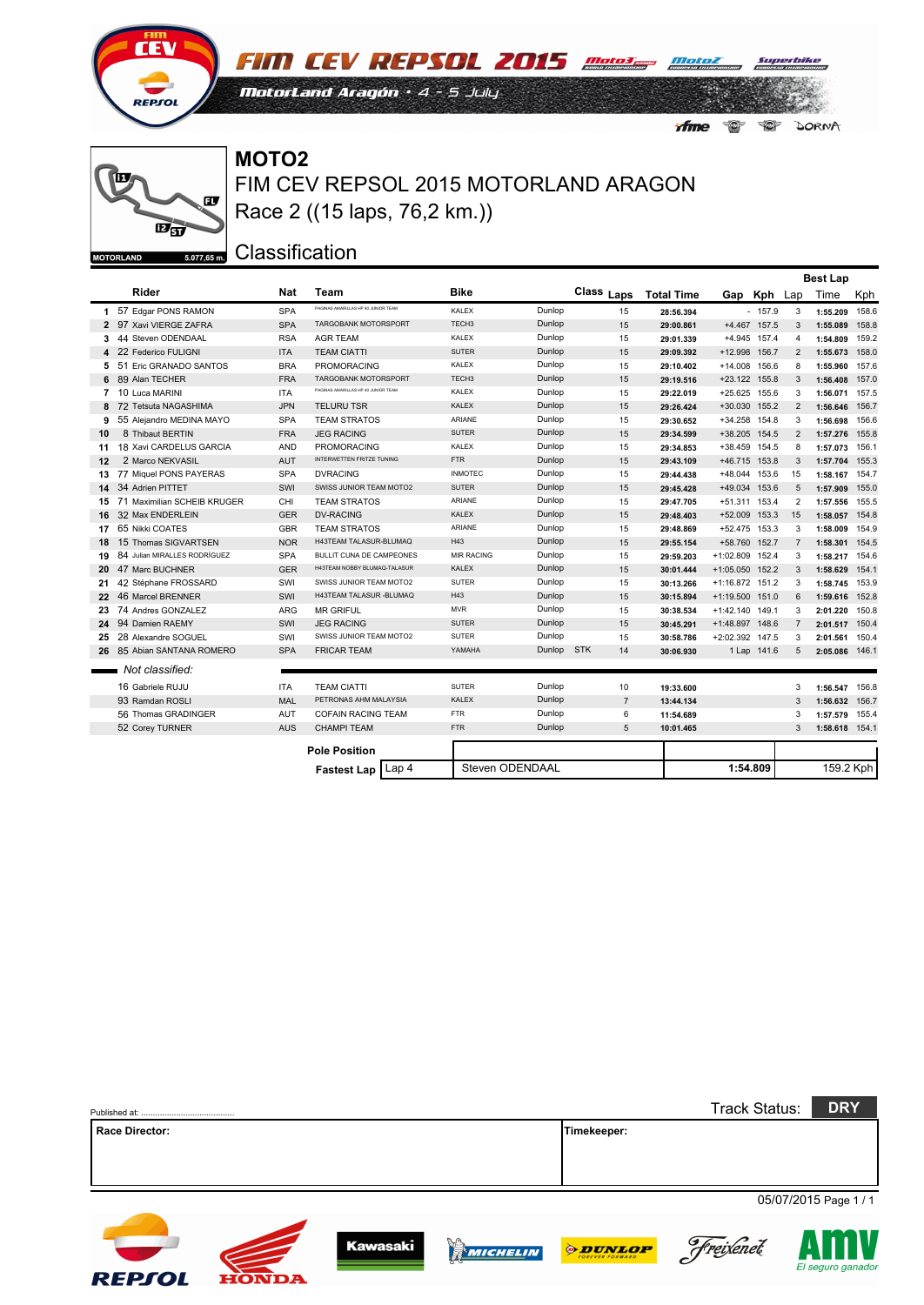

**FIM CEV REPSOL 2015** mater mater MotorLand Aragón · 4 - 5 July  $\bullet$ 

*Afme* 

DORNA

### œ  $E_{5}$  $5.077,65$  m. **MOTORLAND**

FIM CEV REPSOL 2015 MOTORLAND ARAGON **MOTO2** Race 2 ((15 laps, 76,2 km.))

|    |                              |            |                                        |                   |        |                  |                   |                   |               |                | <b>Best Lap</b> |       |
|----|------------------------------|------------|----------------------------------------|-------------------|--------|------------------|-------------------|-------------------|---------------|----------------|-----------------|-------|
|    | Rider                        | Nat        | <b>Team</b>                            | <b>Bike</b>       |        | Class Laps       | <b>Total Time</b> |                   | Gap Kph Lap   |                | Time            | Kph   |
|    | 1 57 Edgar PONS RAMON        | <b>SPA</b> | PAGINAS AMARILLAS HP 40 JUNIOR TEAM    | <b>KALEX</b>      | Dunlop | 15               | 28:56.394         |                   | $-157.9$      | 3              | 1:55.209        | 158.6 |
|    | 2 97 Xavi VIERGE ZAFRA       | <b>SPA</b> | TARGOBANK MOTORSPORT                   | TECH <sub>3</sub> | Dunlop | 15               | 29:00.861         |                   | +4.467 157.5  | 3              | 1:55.089        | 158.8 |
| 3  | 44 Steven ODENDAAL           | <b>RSA</b> | <b>AGR TEAM</b>                        | <b>KALEX</b>      | Dunlop | 15               | 29:01.339         |                   | +4.945 157.4  | 4              | 1:54.809 159.2  |       |
|    | 22 Federico FULIGNI          | <b>ITA</b> | <b>TEAM CIATTI</b>                     | <b>SUTER</b>      | Dunlop | 15               | 29:09.392         | +12.998 156.7     |               | 2              | 1:55.673 158.0  |       |
| 5  | 51 Eric GRANADO SANTOS       | <b>BRA</b> | <b>PROMORACING</b>                     | <b>KALEX</b>      | Dunlop | 15               | 29:10.402         | +14.008 156.6     |               | 8              | 1:55.960 157.6  |       |
|    | 89 Alan TECHER               | <b>FRA</b> | <b>TARGOBANK MOTORSPORT</b>            | TECH <sub>3</sub> | Dunlop | 15               | 29:19.516         | +23.122 155.8     |               | 3              | 1:56.408 157.0  |       |
| 7  | 10 Luca MARINI               | <b>ITA</b> | PAGINAS AMARILLAS HP 40 JUNIOR TEAM    | <b>KALEX</b>      | Dunlop | 15               | 29:22.019         |                   | +25.625 155.6 | 3              | 1:56.071 157.5  |       |
| 8  | 72 Tetsuta NAGASHIMA         | <b>JPN</b> | <b>TELURU TSR</b>                      | <b>KALEX</b>      | Dunlop | 15               | 29:26.424         |                   | +30.030 155.2 | 2              | 1:56.646        | 156.7 |
| 9  | 55 Alejandro MEDINA MAYO     | <b>SPA</b> | <b>TEAM STRATOS</b>                    | ARIANE            | Dunlop | 15               | 29:30.652         |                   | +34.258 154.8 | 3              | 1:56.698 156.6  |       |
| 10 | 8 Thibaut BERTIN             | <b>FRA</b> | <b>JEG RACING</b>                      | <b>SUTER</b>      | Dunlop | 15               | 29:34.599         |                   | +38.205 154.5 | 2              | 1:57.276 155.8  |       |
| 11 | 18 Xavi CARDELUS GARCIA      | <b>AND</b> | <b>PROMORACING</b>                     | <b>KALEX</b>      | Dunlop | 15               | 29:34.853         | +38.459 154.5     |               | 8              | 1:57.073 156.1  |       |
| 12 | 2 Marco NEKVASIL             | <b>AUT</b> | INTERWETTEN FRITZE TUNING              | <b>FTR</b>        | Dunlop | 15               | 29:43.109         | +46.715 153.8     |               | 3              | 1:57.704 155.3  |       |
| 13 | 77 Miguel PONS PAYERAS       | <b>SPA</b> | <b>DVRACING</b>                        | <b>INMOTEC</b>    | Dunlop | 15               | 29:44.438         | +48.044 153.6     |               | 15             | 1:58.167 154.7  |       |
| 14 | 34 Adrien PITTET             | SWI        | SWISS JUNIOR TEAM MOTO2                | <b>SUTER</b>      | Dunlop | 15               | 29:45.428         | +49.034 153.6     |               | 5              | 1:57.909 155.0  |       |
| 15 | 71 Maximilian SCHEIB KRUGER  | CHI        | <b>TEAM STRATOS</b>                    | ARIANE            | Dunlop | 15               | 29:47.705         | +51.311 153.4     |               | 2              | 1:57.556 155.5  |       |
|    | 16 32 Max ENDERLEIN          | <b>GER</b> | <b>DV-RACING</b>                       | <b>KALEX</b>      | Dunlop | 15               | 29:48.403         | +52.009 153.3     |               | 15             | 1:58.057 154.8  |       |
|    | 17 65 Nikki COATES           | <b>GBR</b> | <b>TEAM STRATOS</b>                    | <b>ARIANE</b>     | Dunlop | 15               | 29:48.869         | +52.475 153.3     |               | 3              | 1:58.009 154.9  |       |
|    | 18 15 Thomas SIGVARTSEN      | <b>NOR</b> | H43TEAM TALASUR-BLUMAQ                 | H43               | Dunlop | 15               | 29:55.154         | +58.760 152.7     |               | $\overline{7}$ | 1:58.301 154.5  |       |
| 19 | 84 Julian MIRALLES RODRÍGUEZ | <b>SPA</b> | <b>BULLIT CUNA DE CAMPEONES</b>        | <b>MIR RACING</b> | Dunlop | 15               | 29:59.203         | +1:02.809 152.4   |               | 3              | 1:58.217 154.6  |       |
|    | 20 47 Marc BUCHNER           | <b>GER</b> | H43TEAM NOBBY BLUMAQ-TALASUR           | <b>KALEX</b>      | Dunlop | 15               | 30:01.444         | +1:05.050 152.2   |               | 3              | 1:58.629 154.1  |       |
| 21 | 42 Stéphane FROSSARD         | SWI        | SWISS JUNIOR TEAM MOTO2                | <b>SUTER</b>      | Dunlop | 15               | 30:13.266         | +1:16.872 151.2   |               | 3              | 1:58.745 153.9  |       |
|    | 22 46 Marcel BRENNER         | SWI        | H43TEAM TALASUR - BLUMAQ               | H43               | Dunlop | 15               | 30:15.894         | $+1:19.500$ 151.0 |               | 6              | 1:59.616 152.8  |       |
| 23 | 74 Andres GONZALEZ           | ARG        | <b>MR GRIFUL</b>                       | <b>MVR</b>        | Dunlop | 15               | 30:38.534         | +1:42.140 149.1   |               | 3              | 2:01.220 150.8  |       |
|    | 24 94 Damien RAEMY           | SWI        | <b>JEG RACING</b>                      | <b>SUTER</b>      | Dunlop | 15               | 30:45.291         | +1:48.897 148.6   |               | $\overline{7}$ | 2:01.517 150.4  |       |
| 25 | 28 Alexandre SOGUEL          | SWI        | SWISS JUNIOR TEAM MOTO2                | <b>SUTER</b>      | Dunlop | 15               | 30:58.786         | +2:02.392 147.5   |               | 3              | 2:01.561 150.4  |       |
|    | 26 85 Abian SANTANA ROMERO   | <b>SPA</b> | <b>FRICAR TEAM</b>                     | YAMAHA            | Dunlop | <b>STK</b><br>14 | 30:06.930         |                   | 1 Lap 141.6   | 5              | 2:05.086 146.1  |       |
|    | Not classified:              |            |                                        |                   |        |                  |                   |                   |               |                |                 |       |
|    | 16 Gabriele RUJU             | <b>ITA</b> | <b>TEAM CIATTI</b>                     | <b>SUTER</b>      | Dunlop | 10               | 19:33.600         |                   |               | 3              | 1:56.547 156.8  |       |
|    | 93 Ramdan ROSLI              | <b>MAL</b> | PETRONAS AHM MALAYSIA                  | <b>KALEX</b>      | Dunlop | $\overline{7}$   | 13:44.134         |                   |               | 3              | 1:56.632 156.7  |       |
|    | 56 Thomas GRADINGER          | AUT        | <b>COFAIN RACING TEAM</b>              | <b>FTR</b>        | Dunlop | 6                | 11:54.689         |                   |               | 3              | 1:57.579 155.4  |       |
|    | 52 Corey TURNER              | <b>AUS</b> | <b>CHAMPI TEAM</b>                     | <b>FTR</b>        | Dunlop | 5                | 10:01.465         |                   |               | 3              | 1:58.618 154.1  |       |
|    |                              |            |                                        |                   |        |                  |                   |                   |               |                |                 |       |
|    |                              |            | <b>Pole Position</b>                   |                   |        |                  |                   |                   |               |                |                 |       |
|    |                              |            | Lap <sub>4</sub><br><b>Fastest Lap</b> | Steven ODENDAAL   |        |                  |                   | 1:54.809          |               |                | 159.2 Kph       |       |

| Published at: .       |              |                 |          |                             | <b>Track Status:</b> | <b>DRY</b>            |
|-----------------------|--------------|-----------------|----------|-----------------------------|----------------------|-----------------------|
| <b>Race Director:</b> |              |                 |          | Timekeeper:                 |                      |                       |
|                       |              |                 |          |                             |                      |                       |
|                       |              |                 |          |                             |                      |                       |
|                       |              |                 |          |                             |                      |                       |
|                       |              |                 |          |                             |                      | 05/07/2015 Page 1 / 1 |
| <b>REPSOL</b>         | <b>HONDA</b> | <b>Kawasaki</b> | MICHELIN | <b><i><b>DUNLOP</b></i></b> | Freixenet            | El seguro ganador     |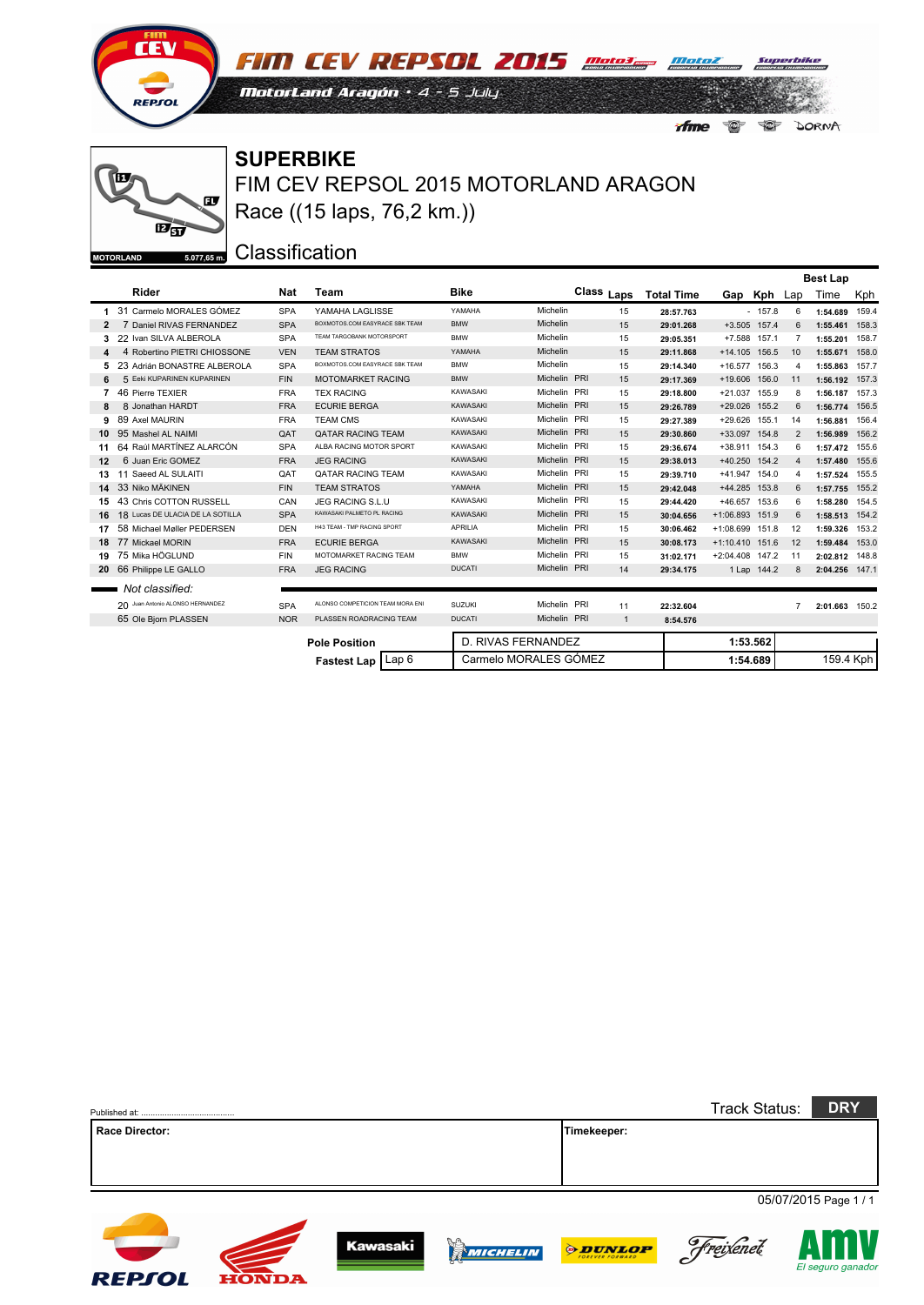

**FIM CEV REPSOL 2015** mater mater MotorLand Aragón · 4 - 5 July  $\bullet$ *Afme*  $\bullet$ DORNA

### $\mathbf{F}$  $\overrightarrow{E_{\text{S}}}$  $5.077,65$  m. **MOTORLAND**

FIM CEV REPSOL 2015 MOTORLAND ARAGON **SUPERBIKE** Race ((15 laps, 76,2 km.))

|                |                                  |            |                                  |                 |                       |              |                   |                   |              |     | <b>Best Lap</b> |     |
|----------------|----------------------------------|------------|----------------------------------|-----------------|-----------------------|--------------|-------------------|-------------------|--------------|-----|-----------------|-----|
|                | Rider                            | Nat        | Team                             | <b>Bike</b>     |                       | Class Laps   | <b>Total Time</b> |                   | Gap Kph      | Lap | Time            | Kph |
|                | 31 Carmelo MORALES GÓMEZ         | <b>SPA</b> | YAMAHA LAGLISSE                  | YAMAHA          | Michelin              | 15           | 28:57.763         |                   | $-157.8$     | 6   | 1:54.689 159.4  |     |
| $\overline{2}$ | 7 Daniel RIVAS FERNANDEZ         | <b>SPA</b> | BOXMOTOS.COM EASYRACE SBK TEAM   | <b>BMW</b>      | Michelin              | 15           | 29:01.268         |                   | +3.505 157.4 | 6   | 1:55.461 158.3  |     |
| 3              | 22 Ivan SILVA ALBEROLA           | <b>SPA</b> | TEAM TARGOBANK MOTORSPORT        | <b>BMW</b>      | Michelin              | 15           | 29:05.351         |                   | +7.588 157.1 | 7   | 1:55.201 158.7  |     |
|                | 4 Robertino PIETRI CHIOSSONE     | <b>VEN</b> | <b>TEAM STRATOS</b>              | YAMAHA          | <b>Michelin</b>       | 15           | 29:11.868         | +14.105 156.5     |              | 10  | 1:55.671 158.0  |     |
|                | 23 Adrián BONASTRE ALBEROLA      | <b>SPA</b> | BOXMOTOS.COM EASYRACE SBK TEAM   | <b>BMW</b>      | Michelin              | 15           | 29:14.340         | +16.577 156.3     |              | 4   | 1:55.863 157.7  |     |
| 6              | 5 Eeki KUPARINEN KUPARINEN       | <b>FIN</b> | <b>MOTOMARKET RACING</b>         | <b>BMW</b>      | Michelin PRI          | 15           | 29:17.369         | +19.606 156.0     |              | 11  | 1:56.192 157.3  |     |
|                | 46 Pierre TEXIER                 | <b>FRA</b> | <b>TEX RACING</b>                | KAWASAKI        | Michelin PRI          | 15           | 29:18.800         | +21.037 155.9     |              | 8   | 1:56.187 157.3  |     |
| 8              | 8 Jonathan HARDT                 | <b>FRA</b> | <b>ECURIE BERGA</b>              | KAWASAKI        | Michelin PRI          | 15           | 29:26.789         | +29.026 155.2     |              | 6   | 1:56.774 156.5  |     |
| 9              | 89 Axel MAURIN                   | <b>FRA</b> | <b>TEAM CMS</b>                  | KAWASAKI        | Michelin PRI          | 15           | 29:27.389         | +29.626 155.1     |              | 14  | 1:56.881 156.4  |     |
| 10             | 95 Mashel AL NAIMI               | QAT        | QATAR RACING TEAM                | <b>KAWASAKI</b> | Michelin PRI          | 15           | 29:30.860         | +33.097 154.8     |              | 2   | 1:56.989 156.2  |     |
| 11             | 64 Raúl MARTÍNEZ ALARCÓN         | <b>SPA</b> | ALBA RACING MOTOR SPORT          | KAWASAKI        | Michelin PRI          | 15           | 29:36.674         | +38.911 154.3     |              | 6   | 1:57.472 155.6  |     |
| 12             | 6 Juan Eric GOMEZ                | <b>FRA</b> | <b>JEG RACING</b>                | KAWASAKI        | Michelin PRI          | 15           | 29:38.013         | +40.250 154.2     |              | 4   | 1:57.480 155.6  |     |
| 13             | 11 Saeed AL SULAITI              | QAT        | <b>QATAR RACING TEAM</b>         | KAWASAKI        | Michelin PRI          | 15           | 29:39.710         | +41.947 154.0     |              | 4   | 1:57.524 155.5  |     |
| 14.            | 33 Niko MÄKINEN                  | <b>FIN</b> | <b>TEAM STRATOS</b>              | YAMAHA          | Michelin PRI          | 15           | 29:42.048         | +44.285 153.8     |              | 6   | 1:57.755 155.2  |     |
| 15.            | 43 Chris COTTON RUSSELL          | CAN        | JEG RACING S.L.U                 | KAWASAKI        | Michelin PRI          | 15           | 29:44.420         | +46.657 153.6     |              | 6   | 1:58.280 154.5  |     |
| 16             | 18 Lucas DE ULACIA DE LA SOTILLA | <b>SPA</b> | KAWASAKI PALMETO PL RACING       | <b>KAWASAKI</b> | Michelin PRI          | 15           | 30:04.656         | +1:06.893 151.9   |              | 6   | 1:58.513 154.2  |     |
| 17             | 58 Michael Møller PEDERSEN       | <b>DEN</b> | H43 TEAM - TMP RACING SPORT      | <b>APRILIA</b>  | Michelin PRI          | 15           | 30:06.462         | +1:08.699 151.8   |              | 12  | 1:59.326 153.2  |     |
| 18             | 77 Mickael MORIN                 | <b>FRA</b> | <b>ECURIE BERGA</b>              | <b>KAWASAKI</b> | Michelin PRI          | 15           | 30:08.173         | $+1:10.410$ 151.6 |              | 12  | 1:59.484 153.0  |     |
| 19.            | 75 Mika HÖGLUND                  | <b>FIN</b> | MOTOMARKET RACING TEAM           | <b>BMW</b>      | Michelin PRI          | 15           | 31:02.171         | +2:04.408 147.2   |              | 11  | 2:02.812 148.8  |     |
|                | 20 66 Philippe LE GALLO          | <b>FRA</b> | <b>JEG RACING</b>                | <b>DUCATI</b>   | Michelin PRI          | 14           | 29:34.175         |                   | 1 Lap 144.2  | 8   | 2:04.256 147.1  |     |
|                | Not classified:                  |            |                                  |                 |                       |              |                   |                   |              |     |                 |     |
|                | 20 Juan Antonio ALONSO HERNANDEZ | <b>SPA</b> | ALONSO COMPETICION TEAM MORA ENI | <b>SUZUKI</b>   | Michelin PRI          | 11           | 22:32.604         |                   |              | 7   | 2:01.663 150.2  |     |
|                | 65 Ole Bjorn PLASSEN             | <b>NOR</b> | PLASSEN ROADRACING TEAM          | <b>DUCATI</b>   | Michelin PRI          | $\mathbf{1}$ | 8:54.576          |                   |              |     |                 |     |
|                |                                  |            | <b>Pole Position</b>             |                 | D. RIVAS FERNANDEZ    |              |                   |                   | 1:53.562     |     |                 |     |
|                |                                  |            | Lap 6<br><b>Fastest Lap</b>      |                 | Carmelo MORALES GÓMEZ |              |                   |                   | 1:54.689     |     | 159.4 Kph       |     |

|                       |              |                 |                        |                | <b>Track Status:</b> | <b>DRY</b>            |
|-----------------------|--------------|-----------------|------------------------|----------------|----------------------|-----------------------|
| <b>Race Director:</b> |              |                 |                        | Timekeeper:    |                      |                       |
|                       |              |                 |                        |                |                      |                       |
|                       |              |                 |                        |                |                      |                       |
|                       |              |                 |                        |                |                      | 05/07/2015 Page 1 / 1 |
| <b>REPSOL</b>         | <b>HONDA</b> | <b>Kawasaki</b> | D.C<br><b>WICHELIN</b> | <b>ODUNLOP</b> | Freixenet            | El seguro ganador     |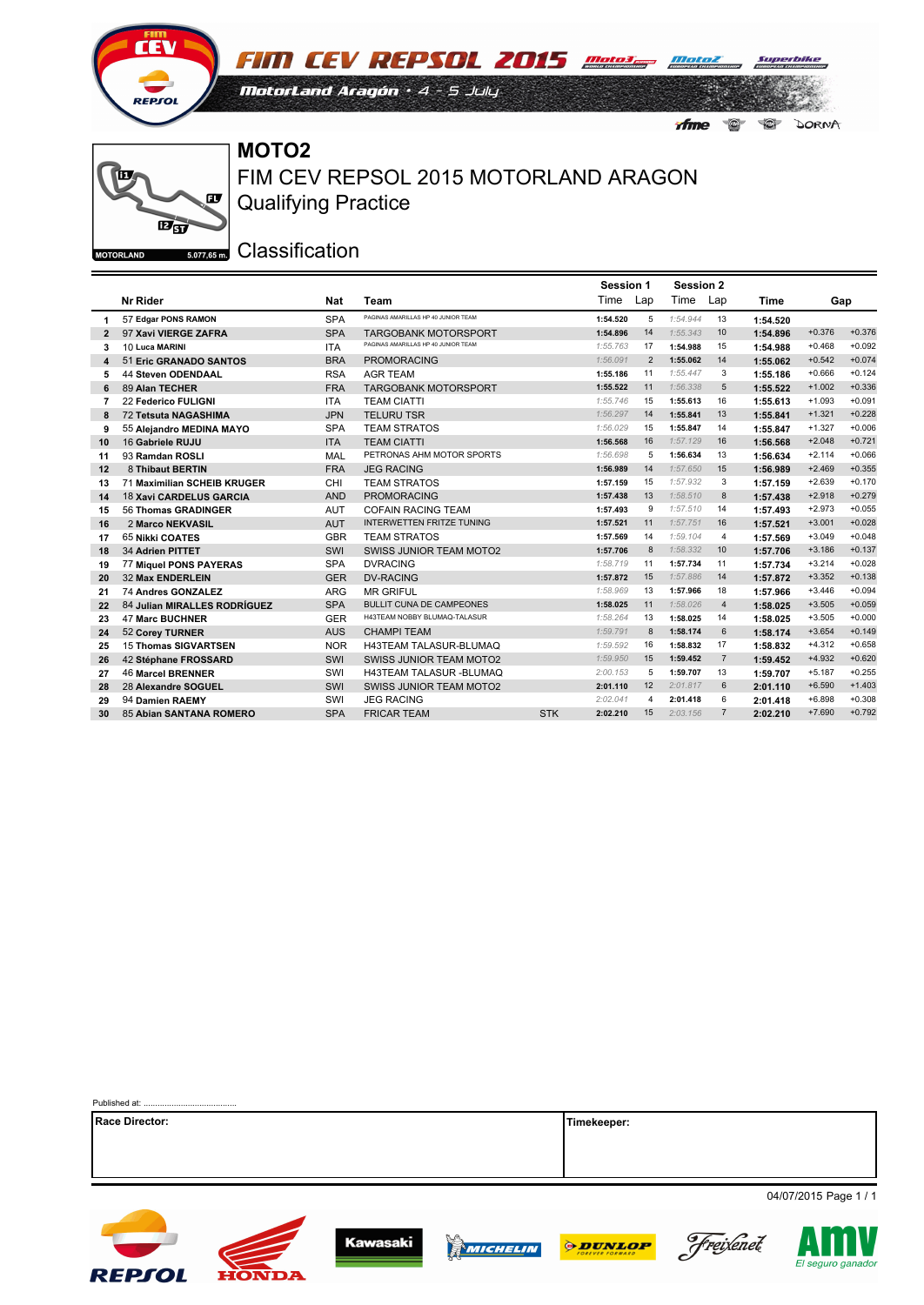



 $\bigcirc$ 

 $\bullet$ 

ifme

DORNA

**MOTO2**

ĨП  $\mathbf{F}$  $\mathbf{E}_{\mathbf{S}}$ **MOTORLAND** 

Qualifying Practice FIM CEV REPSOL 2015 MOTORLAND ARAGON

|                |                               |            |                                     | <b>Session 1</b>       |     | <b>Session 2</b> |                |          |          |          |
|----------------|-------------------------------|------------|-------------------------------------|------------------------|-----|------------------|----------------|----------|----------|----------|
|                | Nr Rider                      | Nat        | Team                                | Time                   | Lap | Time             | Lap            | Time     | Gap      |          |
| 1              | 57 Edgar PONS RAMON           | <b>SPA</b> | PAGINAS AMARILLAS HP 40 JUNIOR TEAM | 1:54.520               | 5   | 1:54.944         | 13             | 1:54.520 |          |          |
| $\overline{2}$ | 97 Xavi VIERGE ZAFRA          | <b>SPA</b> | <b>TARGOBANK MOTORSPORT</b>         | 1:54.896               | 14  | 1:55.343         | 10             | 1:54.896 | $+0.376$ | $+0.376$ |
| 3              | 10 Luca MARINI                | <b>ITA</b> | PAGINAS AMARILLAS HP 40 JUNIOR TEAM | 1:55.763               | 17  | 1:54.988         | 15             | 1:54.988 | $+0.468$ | $+0.092$ |
| 4              | 51 Eric GRANADO SANTOS        | <b>BRA</b> | <b>PROMORACING</b>                  | 1:56.091               | 2   | 1:55.062         | 14             | 1:55.062 | $+0.542$ | $+0.074$ |
| 5              | <b>44 Steven ODENDAAL</b>     | <b>RSA</b> | <b>AGR TEAM</b>                     | 1:55.186               | 11  | 1:55.447         | 3              | 1:55.186 | $+0.666$ | $+0.124$ |
| 6              | 89 Alan TECHER                | <b>FRA</b> | <b>TARGOBANK MOTORSPORT</b>         | 1:55.522               | 11  | 1:56.338         | 5              | 1:55.522 | $+1.002$ | $+0.336$ |
| 7              | <b>22 Federico FULIGNI</b>    | <b>ITA</b> | <b>TEAM CIATTI</b>                  | 1:55.746               | 15  | 1:55.613         | 16             | 1:55.613 | $+1.093$ | $+0.091$ |
| 8              | <b>72 Tetsuta NAGASHIMA</b>   | <b>JPN</b> | <b>TELURU TSR</b>                   | 1:56.297               | 14  | 1:55.841         | 13             | 1:55.841 | $+1.321$ | $+0.228$ |
| 9              | 55 Alejandro MEDINA MAYO      | <b>SPA</b> | <b>TEAM STRATOS</b>                 | 1:56.029               | 15  | 1:55.847         | 14             | 1:55.847 | $+1.327$ | $+0.006$ |
| 10             | 16 Gabriele RUJU              | <b>ITA</b> | <b>TEAM CIATTI</b>                  | 1:56.568               | 16  | 1:57.129         | 16             | 1:56.568 | $+2.048$ | $+0.721$ |
| 11             | 93 Ramdan ROSLI               | MAL        | PETRONAS AHM MOTOR SPORTS           | 1:56.698               | 5   | 1:56.634         | 13             | 1:56.634 | $+2.114$ | $+0.066$ |
| 12             | 8 Thibaut BERTIN              | <b>FRA</b> | <b>JEG RACING</b>                   | 1:56.989               | 14  | 1:57.650         | 15             | 1:56.989 | $+2.469$ | $+0.355$ |
| 13             | 71 Maximilian SCHEIB KRUGER   | CHI        | <b>TEAM STRATOS</b>                 | 1:57.159               | 15  | 1:57.932         | 3              | 1:57.159 | $+2.639$ | $+0.170$ |
| 14             | 18 Xavi CARDELUS GARCIA       | <b>AND</b> | <b>PROMORACING</b>                  | 1:57.438               | 13  | 1:58.510         | 8              | 1:57.438 | $+2.918$ | $+0.279$ |
| 15             | 56 Thomas GRADINGER           | <b>AUT</b> | <b>COFAIN RACING TEAM</b>           | 1:57.493               | 9   | 1:57.510         | 14             | 1:57.493 | $+2.973$ | $+0.055$ |
| 16             | 2 Marco NEKVASIL              | <b>AUT</b> | INTERWETTEN FRITZE TUNING           | 1:57.521               | 11  | 1:57.751         | 16             | 1:57.521 | $+3.001$ | $+0.028$ |
| 17             | <b>65 Nikki COATES</b>        | <b>GBR</b> | <b>TEAM STRATOS</b>                 | 1:57.569               | 14  | 1:59.104         | 4              | 1:57.569 | $+3.049$ | $+0.048$ |
| 18             | 34 Adrien PITTET              | SWI        | <b>SWISS JUNIOR TEAM MOTO2</b>      | 1:57.706               | 8   | 1:58.332         | 10             | 1:57.706 | $+3.186$ | $+0.137$ |
| 19             | <b>77 Miquel PONS PAYERAS</b> | <b>SPA</b> | <b>DVRACING</b>                     | 1:58.719               | 11  | 1:57.734         | 11             | 1:57.734 | $+3.214$ | $+0.028$ |
| 20             | <b>32 Max ENDERLEIN</b>       | <b>GER</b> | <b>DV-RACING</b>                    | 1:57.872               | 15  | 1:57.886         | 14             | 1:57.872 | $+3.352$ | $+0.138$ |
| 21             | 74 Andres GONZALEZ            | <b>ARG</b> | <b>MR GRIFUL</b>                    | 1:58.969               | 13  | 1:57.966         | 18             | 1:57.966 | $+3.446$ | $+0.094$ |
| 22             | 84 Julian MIRALLES RODRÍGUEZ  | <b>SPA</b> | <b>BULLIT CUNA DE CAMPEONES</b>     | 1:58.025               | 11  | 1:58.026         | $\overline{4}$ | 1:58.025 | $+3.505$ | $+0.059$ |
| 23             | <b>47 Marc BUCHNER</b>        | <b>GER</b> | H43TEAM NOBBY BLUMAQ-TALASUR        | 1:58.264               | 13  | 1:58.025         | 14             | 1:58.025 | $+3.505$ | $+0.000$ |
| 24             | 52 Corey TURNER               | <b>AUS</b> | <b>CHAMPI TEAM</b>                  | 1:59.791               | 8   | 1:58.174         | 6              | 1:58.174 | $+3.654$ | $+0.149$ |
| 25             | <b>15 Thomas SIGVARTSEN</b>   | <b>NOR</b> | H43TEAM TALASUR-BLUMAQ              | 1:59.592               | 16  | 1:58.832         | 17             | 1:58.832 | $+4.312$ | $+0.658$ |
| 26             | 42 Stéphane FROSSARD          | SWI        | <b>SWISS JUNIOR TEAM MOTO2</b>      | 1:59.950               | 15  | 1:59.452         | $\overline{7}$ | 1:59.452 | $+4.932$ | $+0.620$ |
| 27             | <b>46 Marcel BRENNER</b>      | SWI        | <b>H43TEAM TALASUR -BLUMAQ</b>      | 2:00.153               | 5   | 1:59.707         | 13             | 1:59.707 | $+5.187$ | $+0.255$ |
| 28             | 28 Alexandre SOGUEL           | SWI        | <b>SWISS JUNIOR TEAM MOTO2</b>      | 2:01.110               | 12  | 2:01.817         | 6              | 2:01.110 | $+6.590$ | $+1.403$ |
| 29             | 94 Damien RAEMY               | SWI        | <b>JEG RACING</b>                   | 2:02.041               | 4   | 2:01.418         | 6              | 2:01.418 | $+6.898$ | $+0.308$ |
| 30             | 85 Abian SANTANA ROMERO       | <b>SPA</b> | <b>FRICAR TEAM</b>                  | <b>STK</b><br>2:02.210 | 15  | 2:03.156         | $\overline{7}$ | 2:02.210 | $+7.690$ | $+0.792$ |

| Race Director: | Timekeeper:           |  |  |  |  |  |  |
|----------------|-----------------------|--|--|--|--|--|--|
|                |                       |  |  |  |  |  |  |
|                |                       |  |  |  |  |  |  |
|                |                       |  |  |  |  |  |  |
|                | 04/07/2015 Page 1 / 1 |  |  |  |  |  |  |